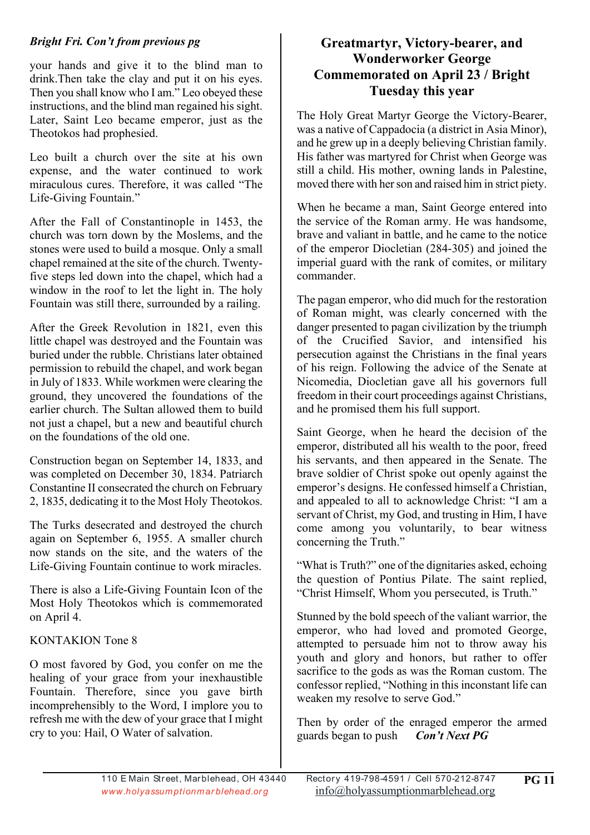#### *Bright Fri. Con't from previous pg*

your hands and give it to the blind man to drink.Then take the clay and put it on his eyes. Then you shall know who I am." Leo obeyed these instructions, and the blind man regained his sight. Later, Saint Leo became emperor, just as the Theotokos had prophesied.

Leo built a church over the site at his own expense, and the water continued to work miraculous cures. Therefore, it was called "The Life-Giving Fountain."

After the Fall of Constantinople in 1453, the church was torn down by the Moslems, and the stones were used to build a mosque. Only a small chapel remained at the site of the church. Twentyfive steps led down into the chapel, which had a window in the roof to let the light in. The holy Fountain was still there, surrounded by a railing.

After the Greek Revolution in 1821, even this little chapel was destroyed and the Fountain was buried under the rubble. Christians later obtained permission to rebuild the chapel, and work began in July of 1833. While workmen were clearing the ground, they uncovered the foundations of the earlier church. The Sultan allowed them to build not just a chapel, but a new and beautiful church on the foundations of the old one.

Construction began on September 14, 1833, and was completed on December 30, 1834. Patriarch Constantine II consecrated the church on February 2, 1835, dedicating it to the Most Holy Theotokos.

The Turks desecrated and destroyed the church again on September 6, 1955. A smaller church now stands on the site, and the waters of the Life-Giving Fountain continue to work miracles.

There is also a Life-Giving Fountain Icon of the Most Holy Theotokos which is commemorated on April 4.

# KONTAKION Tone 8

O most favored by God, you confer on me the healing of your grace from your inexhaustible Fountain. Therefore, since you gave birth incomprehensibly to the Word, I implore you to refresh me with the dew of your grace that I might cry to you: Hail, O Water of salvation.

### **Greatmartyr, Victory-bearer, and Wonderworker George Commemorated on April 23 / Bright Tuesday this year**

The Holy Great Martyr George the Victory-Bearer, was a native of Cappadocia (a district in Asia Minor), and he grew up in a deeply believing Christian family. His father was martyred for Christ when George was still a child. His mother, owning lands in Palestine, moved there with her son and raised him in strict piety.

When he became a man, Saint George entered into the service of the Roman army. He was handsome, brave and valiant in battle, and he came to the notice of the emperor Diocletian (284-305) and joined the imperial guard with the rank of comites, or military commander.

The pagan emperor, who did much for the restoration of Roman might, was clearly concerned with the danger presented to pagan civilization by the triumph of the Crucified Savior, and intensified his persecution against the Christians in the final years of his reign. Following the advice of the Senate at Nicomedia, Diocletian gave all his governors full freedom in their court proceedings against Christians, and he promised them his full support.

Saint George, when he heard the decision of the emperor, distributed all his wealth to the poor, freed his servants, and then appeared in the Senate. The brave soldier of Christ spoke out openly against the emperor's designs. He confessed himself a Christian, and appealed to all to acknowledge Christ: "I am a servant of Christ, my God, and trusting in Him, I have come among you voluntarily, to bear witness concerning the Truth."

"What is Truth?" one of the dignitaries asked, echoing the question of Pontius Pilate. The saint replied, "Christ Himself, Whom you persecuted, is Truth."

Stunned by the bold speech of the valiant warrior, the emperor, who had loved and promoted George, attempted to persuade him not to throw away his youth and glory and honors, but rather to offer sacrifice to the gods as was the Roman custom. The confessor replied, "Nothing in this inconstant life can weaken my resolve to serve God."

Then by order of the enraged emperor the armed guards began to push *Con't Next PG*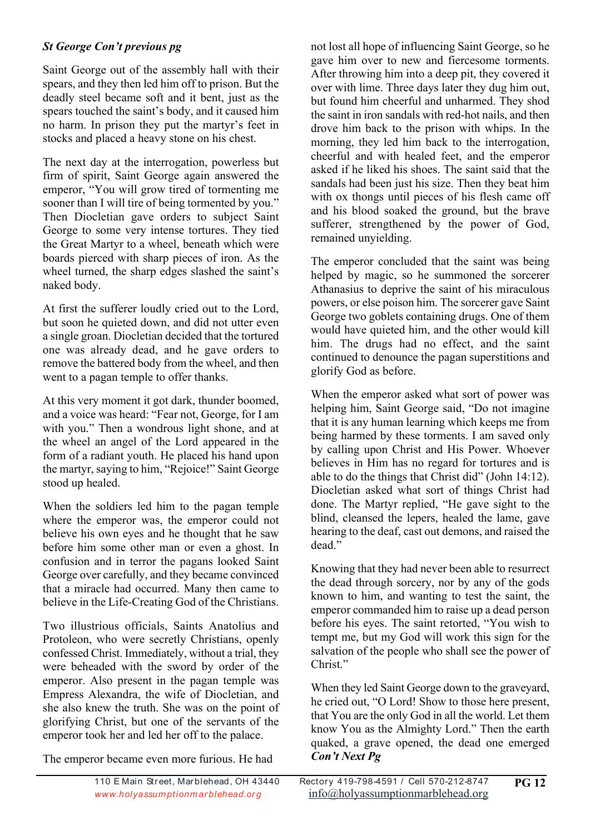#### *St George Con't previous pg*

Saint George out of the assembly hall with their spears, and they then led him off to prison. But the deadly steel became soft and it bent, just as the spears touched the saint's body, and it caused him no harm. In prison they put the martyr's feet in stocks and placed a heavy stone on his chest.

The next day at the interrogation, powerless but firm of spirit, Saint George again answered the emperor, "You will grow tired of tormenting me sooner than I will tire of being tormented by you." Then Diocletian gave orders to subject Saint George to some very intense tortures. They tied the Great Martyr to a wheel, beneath which were boards pierced with sharp pieces of iron. As the wheel turned, the sharp edges slashed the saint's naked body.

At first the sufferer loudly cried out to the Lord, but soon he quieted down, and did not utter even a single groan. Diocletian decided that the tortured one was already dead, and he gave orders to remove the battered body from the wheel, and then went to a pagan temple to offer thanks.

At this very moment it got dark, thunder boomed, and a voice was heard: "Fear not, George, for I am with you." Then a wondrous light shone, and at the wheel an angel of the Lord appeared in the form of a radiant youth. He placed his hand upon the martyr, saying to him, "Rejoice!" Saint George stood up healed.

When the soldiers led him to the pagan temple where the emperor was, the emperor could not believe his own eyes and he thought that he saw before him some other man or even a ghost. In confusion and in terror the pagans looked Saint George over carefully, and they became convinced that a miracle had occurred. Many then came to believe in the Life-Creating God of the Christians.

Two illustrious officials, Saints Anatolius and Protoleon, who were secretly Christians, openly confessed Christ. Immediately, without a trial, they were beheaded with the sword by order of the emperor. Also present in the pagan temple was Empress Alexandra, the wife of Diocletian, and she also knew the truth. She was on the point of glorifying Christ, but one of the servants of the emperor took her and led her off to the palace.

The emperor became even more furious. He had

not lost all hope of influencing Saint George, so he gave him over to new and fiercesome torments. After throwing him into a deep pit, they covered it over with lime. Three days later they dug him out, but found him cheerful and unharmed. They shod the saint in iron sandals with red-hot nails, and then drove him back to the prison with whips. In the morning, they led him back to the interrogation, cheerful and with healed feet, and the emperor asked if he liked his shoes. The saint said that the sandals had been just his size. Then they beat him with ox thongs until pieces of his flesh came off and his blood soaked the ground, but the brave sufferer, strengthened by the power of God, remained unyielding.

The emperor concluded that the saint was being helped by magic, so he summoned the sorcerer Athanasius to deprive the saint of his miraculous powers, or else poison him. The sorcerer gave Saint George two goblets containing drugs. One of them would have quieted him, and the other would kill him. The drugs had no effect, and the saint continued to denounce the pagan superstitions and glorify God as before.

When the emperor asked what sort of power was helping him, Saint George said, "Do not imagine that it is any human learning which keeps me from being harmed by these torments. I am saved only by calling upon Christ and His Power. Whoever believes in Him has no regard for tortures and is able to do the things that Christ did" (John 14:12). Diocletian asked what sort of things Christ had done. The Martyr replied, "He gave sight to the blind, cleansed the lepers, healed the lame, gave hearing to the deaf, cast out demons, and raised the dead."

Knowing that they had never been able to resurrect the dead through sorcery, nor by any of the gods known to him, and wanting to test the saint, the emperor commanded him to raise up a dead person before his eyes. The saint retorted, "You wish to tempt me, but my God will work this sign for the salvation of the people who shall see the power of Christ."

When they led Saint George down to the graveyard, he cried out, "O Lord! Show to those here present, that You are the only God in all the world. Let them know You as the Almighty Lord." Then the earth quaked, a grave opened, the dead one emerged *Con't Next Pg*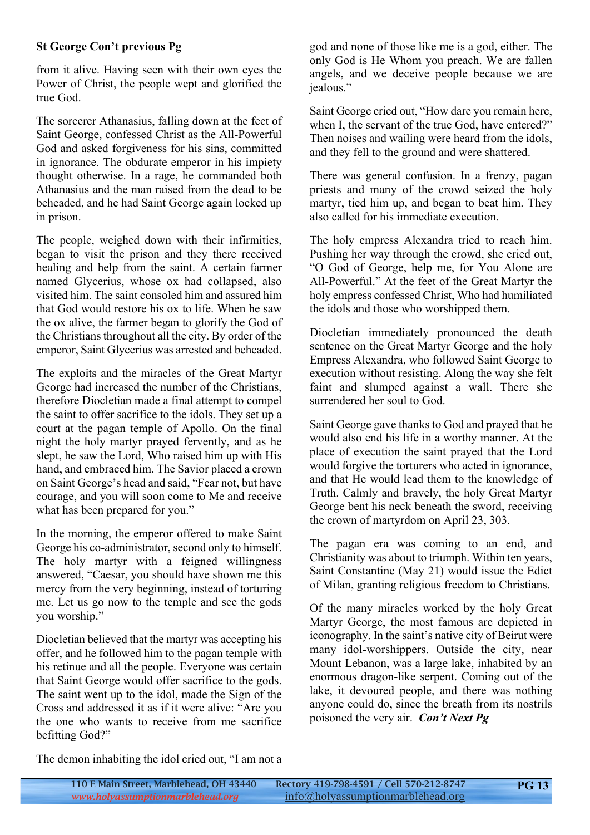#### **St George Con't previous Pg**

from it alive. Having seen with their own eyes the Power of Christ, the people wept and glorified the true God.

The sorcerer Athanasius, falling down at the feet of Saint George, confessed Christ as the All-Powerful God and asked forgiveness for his sins, committed in ignorance. The obdurate emperor in his impiety thought otherwise. In a rage, he commanded both Athanasius and the man raised from the dead to be beheaded, and he had Saint George again locked up in prison.

The people, weighed down with their infirmities, began to visit the prison and they there received healing and help from the saint. A certain farmer named Glycerius, whose ox had collapsed, also visited him. The saint consoled him and assured him that God would restore his ox to life. When he saw the ox alive, the farmer began to glorify the God of the Christians throughout all the city. By order of the emperor, Saint Glycerius was arrested and beheaded.

The exploits and the miracles of the Great Martyr George had increased the number of the Christians, therefore Diocletian made a final attempt to compel the saint to offer sacrifice to the idols. They set up a court at the pagan temple of Apollo. On the final night the holy martyr prayed fervently, and as he slept, he saw the Lord, Who raised him up with His hand, and embraced him. The Savior placed a crown on Saint George's head and said, "Fear not, but have courage, and you will soon come to Me and receive what has been prepared for you."

In the morning, the emperor offered to make Saint George his co-administrator, second only to himself. The holy martyr with a feigned willingness answered, "Caesar, you should have shown me this mercy from the very beginning, instead of torturing me. Let us go now to the temple and see the gods you worship."

Diocletian believed that the martyr was accepting his offer, and he followed him to the pagan temple with his retinue and all the people. Everyone was certain that Saint George would offer sacrifice to the gods. The saint went up to the idol, made the Sign of the Cross and addressed it as if it were alive: "Are you the one who wants to receive from me sacrifice befitting God?"

god and none of those like me is a god, either. The only God is He Whom you preach. We are fallen angels, and we deceive people because we are jealous."

Saint George cried out, "How dare you remain here, when I, the servant of the true God, have entered?" Then noises and wailing were heard from the idols, and they fell to the ground and were shattered.

There was general confusion. In a frenzy, pagan priests and many of the crowd seized the holy martyr, tied him up, and began to beat him. They also called for his immediate execution.

The holy empress Alexandra tried to reach him. Pushing her way through the crowd, she cried out, "O God of George, help me, for You Alone are All-Powerful." At the feet of the Great Martyr the holy empress confessed Christ, Who had humiliated the idols and those who worshipped them.

Diocletian immediately pronounced the death sentence on the Great Martyr George and the holy Empress Alexandra, who followed Saint George to execution without resisting. Along the way she felt faint and slumped against a wall. There she surrendered her soul to God.

Saint George gave thanks to God and prayed that he would also end his life in a worthy manner. At the place of execution the saint prayed that the Lord would forgive the torturers who acted in ignorance, and that He would lead them to the knowledge of Truth. Calmly and bravely, the holy Great Martyr George bent his neck beneath the sword, receiving the crown of martyrdom on April 23, 303.

The pagan era was coming to an end, and Christianity was about to triumph. Within ten years, Saint Constantine (May 21) would issue the Edict of Milan, granting religious freedom to Christians.

Of the many miracles worked by the holy Great Martyr George, the most famous are depicted in iconography. In the saint's native city of Beirut were many idol-worshippers. Outside the city, near Mount Lebanon, was a large lake, inhabited by an enormous dragon-like serpent. Coming out of the lake, it devoured people, and there was nothing anyone could do, since the breath from its nostrils poisoned the very air. *Con't Next Pg*

The demon inhabiting the idol cried out, "I am not a

**PG 13**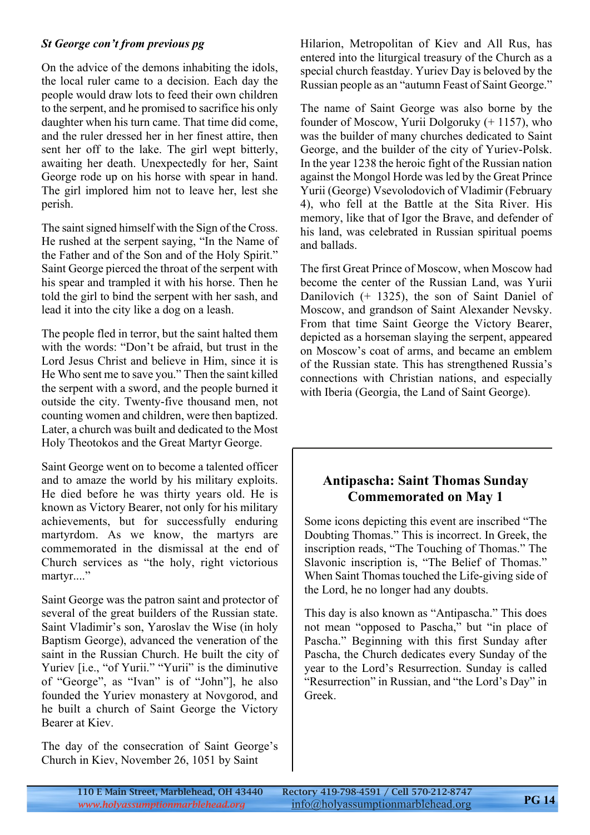#### *St George con't from previous pg*

On the advice of the demons inhabiting the idols, the local ruler came to a decision. Each day the people would draw lots to feed their own children to the serpent, and he promised to sacrifice his only daughter when his turn came. That time did come, and the ruler dressed her in her finest attire, then sent her off to the lake. The girl wept bitterly, awaiting her death. Unexpectedly for her, Saint George rode up on his horse with spear in hand. The girl implored him not to leave her, lest she perish.

The saint signed himself with the Sign of the Cross. He rushed at the serpent saying, "In the Name of the Father and of the Son and of the Holy Spirit." Saint George pierced the throat of the serpent with his spear and trampled it with his horse. Then he told the girl to bind the serpent with her sash, and lead it into the city like a dog on a leash.

The people fled in terror, but the saint halted them with the words: "Don't be afraid, but trust in the Lord Jesus Christ and believe in Him, since it is He Who sent me to save you." Then the saint killed the serpent with a sword, and the people burned it outside the city. Twenty-five thousand men, not counting women and children, were then baptized. Later, a church was built and dedicated to the Most Holy Theotokos and the Great Martyr George.

Saint George went on to become a talented officer and to amaze the world by his military exploits. He died before he was thirty years old. He is known as Victory Bearer, not only for his military achievements, but for successfully enduring martyrdom. As we know, the martyrs are commemorated in the dismissal at the end of Church services as "the holy, right victorious martyr...."

Saint George was the patron saint and protector of several of the great builders of the Russian state. Saint Vladimir's son, Yaroslav the Wise (in holy Baptism George), advanced the veneration of the saint in the Russian Church. He built the city of Yuriev [i.e., "of Yurii." "Yurii" is the diminutive of "George", as "Ivan" is of "John"], he also founded the Yuriev monastery at Novgorod, and he built a church of Saint George the Victory Bearer at Kiev.

The day of the consecration of Saint George's Church in Kiev, November 26, 1051 by Saint

Hilarion, Metropolitan of Kiev and All Rus, has entered into the liturgical treasury of the Church as a special church feastday. Yuriev Day is beloved by the Russian people as an "autumn Feast of Saint George."

The name of Saint George was also borne by the founder of Moscow, Yurii Dolgoruky (+ 1157), who was the builder of many churches dedicated to Saint George, and the builder of the city of Yuriev-Polsk. In the year 1238 the heroic fight of the Russian nation against the Mongol Horde was led by the Great Prince Yurii (George) Vsevolodovich of Vladimir (February 4), who fell at the Battle at the Sita River. His memory, like that of Igor the Brave, and defender of his land, was celebrated in Russian spiritual poems and ballads.

The first Great Prince of Moscow, when Moscow had become the center of the Russian Land, was Yurii Danilovich (+ 1325), the son of Saint Daniel of Moscow, and grandson of Saint Alexander Nevsky. From that time Saint George the Victory Bearer, depicted as a horseman slaying the serpent, appeared on Moscow's coat of arms, and became an emblem of the Russian state. This has strengthened Russia's connections with Christian nations, and especially with Iberia (Georgia, the Land of Saint George).

#### **Antipascha: Saint Thomas Sunday Commemorated on May 1**

Some icons depicting this event are inscribed "The Doubting Thomas." This is incorrect. In Greek, the inscription reads, "The Touching of Thomas." The Slavonic inscription is, "The Belief of Thomas." When Saint Thomas touched the Life-giving side of the Lord, he no longer had any doubts.

This day is also known as "Antipascha." This does not mean "opposed to Pascha," but "in place of Pascha." Beginning with this first Sunday after Pascha, the Church dedicates every Sunday of the year to the Lord's Resurrection. Sunday is called "Resurrection" in Russian, and "the Lord's Day" in Greek.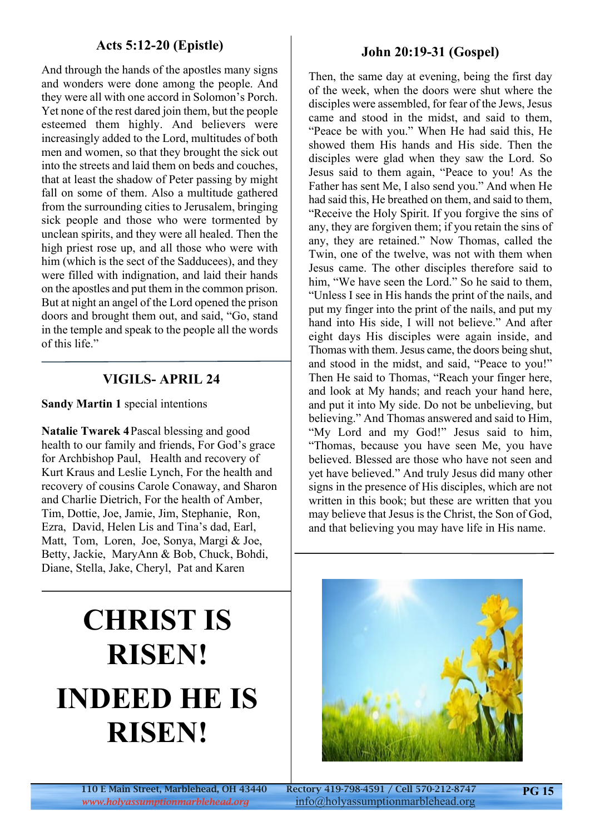#### **Acts 5:12-20 (Epistle)**

And through the hands of the apostles many signs and wonders were done among the people. And they were all with one accord in Solomon's Porch. Yet none of the rest dared join them, but the people esteemed them highly. And believers were increasingly added to the Lord, multitudes of both men and women, so that they brought the sick out into the streets and laid them on beds and couches, that at least the shadow of Peter passing by might fall on some of them. Also a multitude gathered from the surrounding cities to Jerusalem, bringing sick people and those who were tormented by unclean spirits, and they were all healed. Then the high priest rose up, and all those who were with him (which is the sect of the Sadducees), and they were filled with indignation, and laid their hands on the apostles and put them in the common prison. But at night an angel of the Lord opened the prison doors and brought them out, and said, "Go, stand in the temple and speak to the people all the words of this life."

## **VIGILS- APRIL 24**

**Sandy Martin 1** special intentions

**Natalie Twarek 4** Pascal blessing and good health to our family and friends, For God's grace for Archbishop Paul, Health and recovery of Kurt Kraus and Leslie Lynch, For the health and recovery of cousins Carole Conaway, and Sharon and Charlie Dietrich, For the health of Amber, Tim, Dottie, Joe, Jamie, Jim, Stephanie, Ron, Ezra, David, Helen Lis and Tina's dad, Earl, Matt, Tom, Loren, Joe, Sonya, Margi & Joe, Betty, Jackie, MaryAnn & Bob, Chuck, Bohdi, Diane, Stella, Jake, Cheryl, Pat and Karen

### **John 20:19-31 (Gospel)**

Then, the same day at evening, being the first day of the week, when the doors were shut where the disciples were assembled, for fear of the Jews, Jesus came and stood in the midst, and said to them, "Peace be with you." When He had said this, He showed them His hands and His side. Then the disciples were glad when they saw the Lord. So Jesus said to them again, "Peace to you! As the Father has sent Me, I also send you." And when He had said this, He breathed on them, and said to them, "Receive the Holy Spirit. If you forgive the sins of any, they are forgiven them; if you retain the sins of any, they are retained." Now Thomas, called the Twin, one of the twelve, was not with them when Jesus came. The other disciples therefore said to him, "We have seen the Lord." So he said to them, "Unless I see in His hands the print of the nails, and put my finger into the print of the nails, and put my hand into His side, I will not believe." And after eight days His disciples were again inside, and Thomas with them. Jesus came, the doors being shut, and stood in the midst, and said, "Peace to you!" Then He said to Thomas, "Reach your finger here, and look at My hands; and reach your hand here, and put it into My side. Do not be unbelieving, but believing." And Thomas answered and said to Him, "My Lord and my God!" Jesus said to him, "Thomas, because you have seen Me, you have believed. Blessed are those who have not seen and yet have believed." And truly Jesus did many other signs in the presence of His disciples, which are not written in this book; but these are written that you may believe that Jesus is the Christ, the Son of God, and that believing you may have life in His name.

# **CHRIST IS RISEN! INDEED HE IS RISEN!**



110 E Main Street, Marblehead, OH 43440 Rectory 419-798-4591 / Cell 570-212-8747